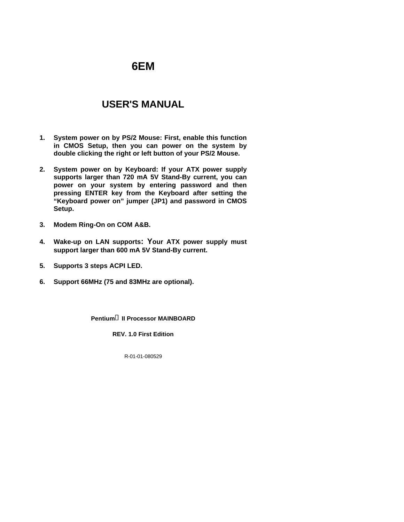# **6EM**

# **USER'S MANUAL**

- **1. System power on by PS/2 Mouse: First, enable this function in CMOS Setup, then you can power on the system by double clicking the right or left button of your PS/2 Mouse.**
- **2. System power on by Keyboard: If your ATX power supply supports larger than 720 mA 5V Stand-By current, you can power on your system by entering password and then pressing ENTER key from the Keyboard after setting the "Keyboard power on" jumper (JP1) and password in CMOS Setup.**
- **3. Modem Ring-On on COM A&B.**
- **4. Wake-up on LAN supports: Your ATX power supply must support larger than 600 mA 5V Stand-By current.**
- **5. Supports 3 steps ACPI LED.**
- **6. Support 66MHz (75 and 83MHz are optional).**

**Pentium<sup>®</sup> II Processor MAINBOARD** 

**REV. 1.0 First Edition**

R-01-01-080529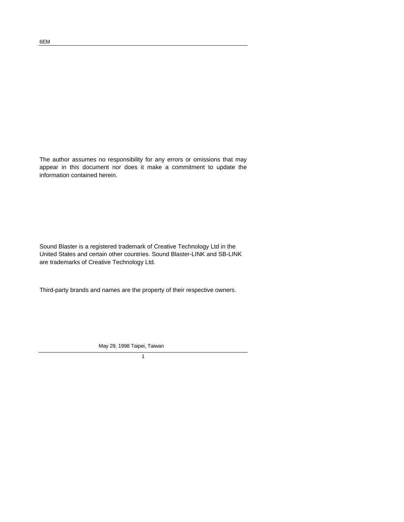The author assumes no responsibility for any errors or omissions that may appear in this document nor does it make a commitment to update the information contained herein.

Sound Blaster is a registered trademark of Creative Technology Ltd in the United States and certain other countries. Sound Blaster-LINK and SB-LINK are trademarks of Creative Technology Ltd.

Third-party brands and names are the property of their respective owners.

May 29, 1998 Taipei, Taiwan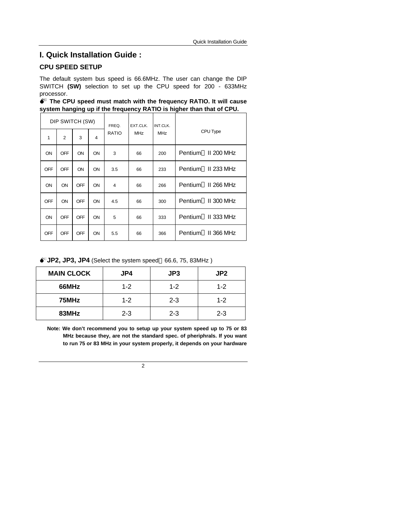## **I. Quick Installation Guide :**

### **CPU SPEED SETUP**

The default system bus speed is 66.6MHz. The user can change the DIP SWITCH **(SW)** selection to set up the CPU speed for 200 - 633MHz processor.

|  |  | ♦ The CPU speed must match with the frequency RATIO. It will cause   |  |  |  |  |
|--|--|----------------------------------------------------------------------|--|--|--|--|
|  |  | system hanging up if the frequency RATIO is higher than that of CPU. |  |  |  |  |

|            | DIP SWITCH (SW) |            |    | FREQ.          | EXT.CLK.<br><b>MHz</b> | INT.CLK.<br><b>MHz</b> | CPU Type                        |
|------------|-----------------|------------|----|----------------|------------------------|------------------------|---------------------------------|
| 1          | $\overline{2}$  | 3          | 4  | <b>RATIO</b>   |                        |                        |                                 |
| ON         | OFF             | ON         | ON | 3              | 66                     | 200                    | Pentium <sup>®</sup> II 200 MHz |
| OFF        | OFF             | ON         | ON | 3.5            | 66                     | 233                    | Pentium <sup>®</sup> II 233 MHz |
| ON         | ON              | OFF        | ON | $\overline{4}$ | 66                     | 266                    | Pentium <sup>®</sup> II 266 MHz |
| <b>OFF</b> | ON              | <b>OFF</b> | ON | 4.5            | 66                     | 300                    | Pentium <sup>®</sup> II 300 MHz |
| ON         | OFF             | <b>OFF</b> | ON | 5              | 66                     | 333                    | Pentium <sup>®</sup> II 333 MHz |
| <b>OFF</b> | <b>OFF</b>      | <b>OFF</b> | ON | 5.5            | 66                     | 366                    | Pentium <sup>®</sup> II 366 MHz |

 $\bullet^*$ **JP2, JP3, JP4** (Select the system speed 66.6, 75, 83MHz)

| <b>MAIN CLOCK</b> | JP4     | JP3     | JP <sub>2</sub> |
|-------------------|---------|---------|-----------------|
| 66MHz             | $1 - 2$ | $1 - 2$ | $1 - 2$         |
| 75MHz             | $1 - 2$ | $2 - 3$ | $1 - 2$         |
| 83MHz             | $2 - 3$ | $2 - 3$ | $2 - 3$         |

**Note: We don't recommend you to setup up your system speed up to 75 or 83 MHz because they, are not the standard spec. of pheriphrals. If you want to run 75 or 83 MHz in your system properly, it depends on your hardware**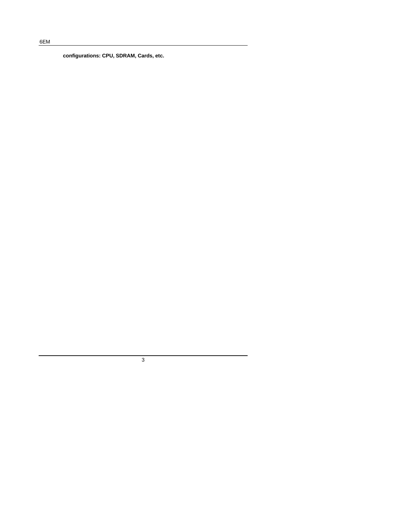**configurations: CPU, SDRAM, Cards, etc.**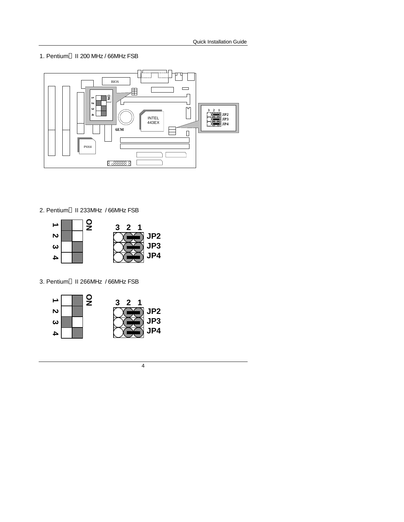1. Pentium<sup>®</sup> II 200 MHz / 66MHz FSB



2. Pentium<sup>®</sup> II 233MHz / 66MHz FSB



3. Pentium® II 266MHz / 66MHz FSB

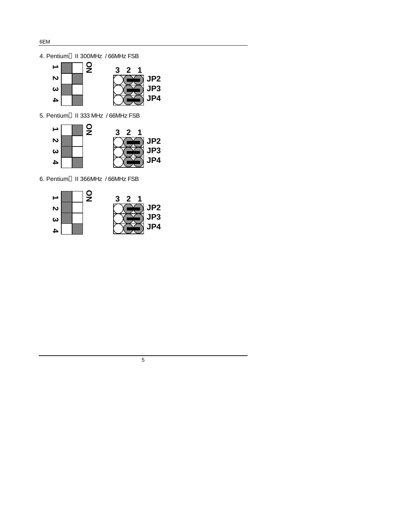4. Pentium<sup>®</sup> II 300MHz / 66MHz FSB



5. Pentium® II 333 MHz / 66MHz FSB



6. Pentium<sup>®</sup> II 366MHz / 66MHz FSB



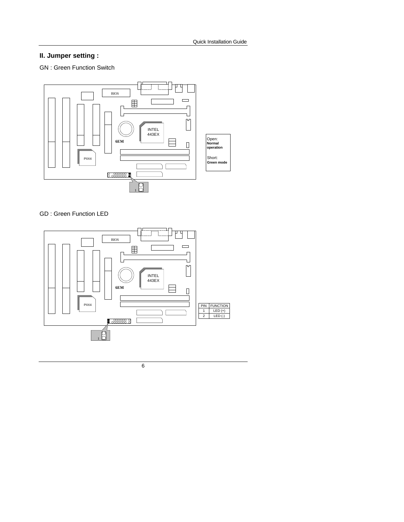# **II. Jumper setting :**

GN : Green Function Switch



### GD : Green Function LED

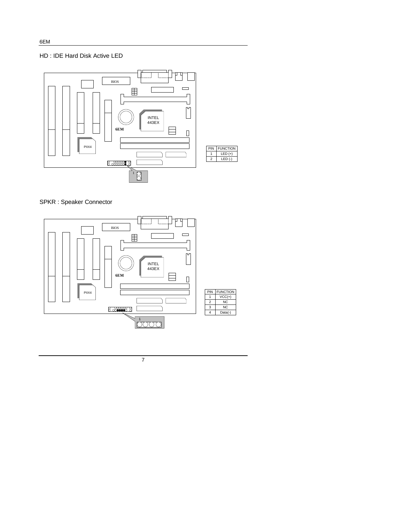

SPKR : Speaker Connector



7

6EM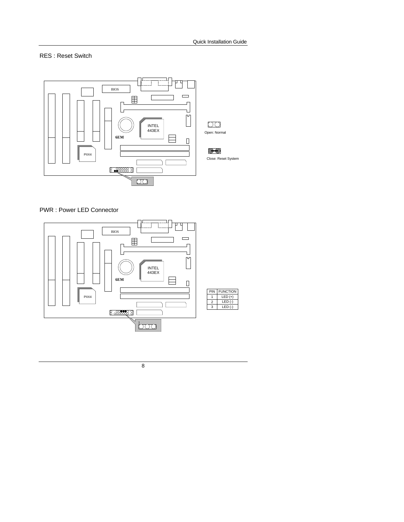RES : Reset Switch



#### PWR : Power LED Connector

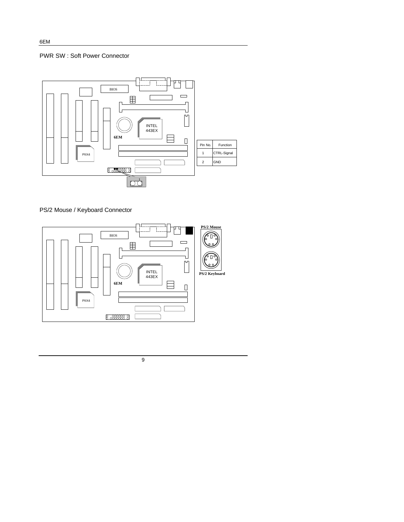



PS/2 Mouse / Keyboard Connector

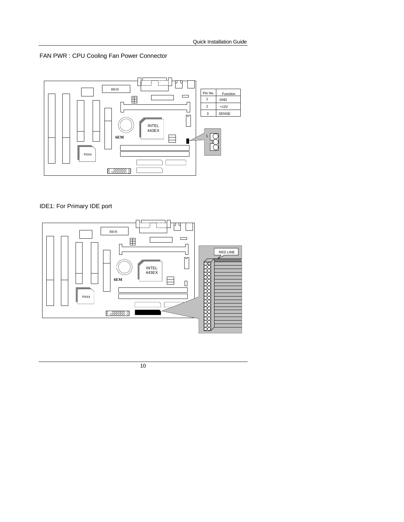



# IDE1: For Primary IDE port

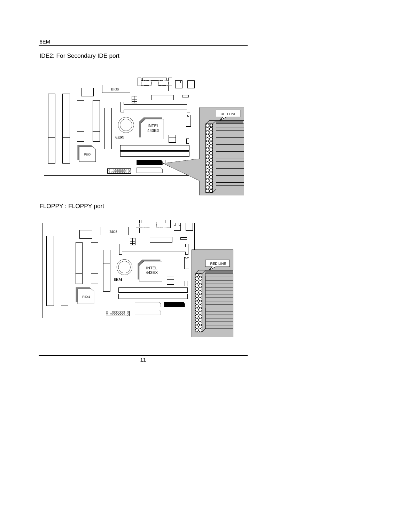# IDE2: For Secondary IDE port



FLOPPY : FLOPPY port



11

6EM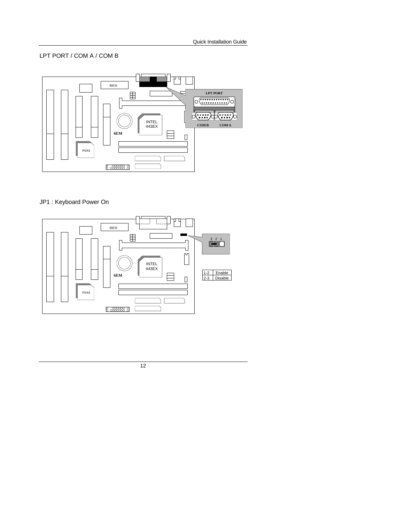### LPT PORT / COM A / COM B



# JP1 : Keyboard Power On

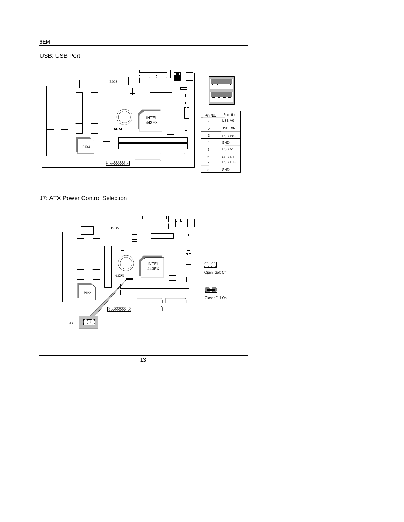USB: USB Port



J7: ATX Power Control Selection

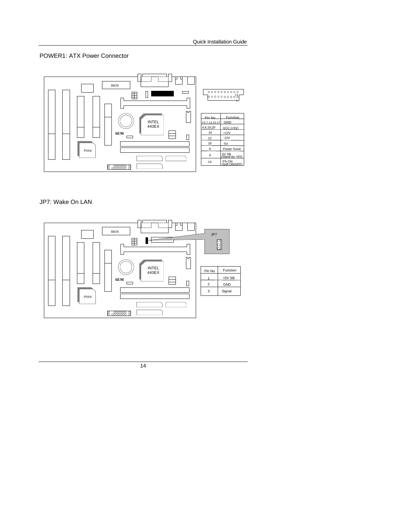#### POWER1: ATX Power Connector



#### JP7: Wake On LAN

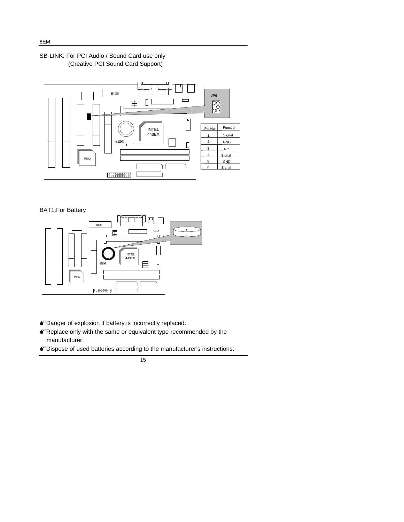### SB-LINK: For PCI Audio / Sound Card use only (Creative PCI Sound Card Support)



#### BAT1:For Battery



- $\bullet$  Danger of explosion if battery is incorrectly replaced.
- $\bullet$  Replace only with the same or equivalent type recommended by the manufacturer.
- MDispose of used batteries according to the manufacturer's instructions.

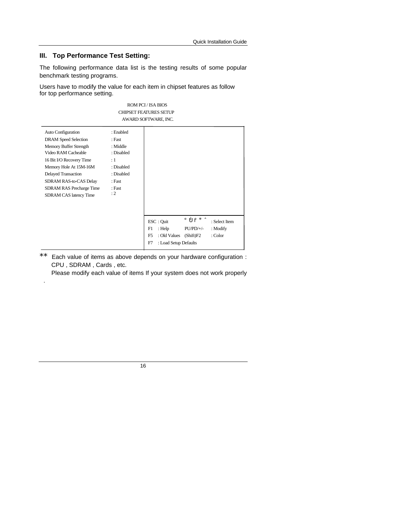#### **III. Top Performance Test Setting:**

.

The following performance data list is the testing results of some popular benchmark testing programs.

ROM PCI / ISA BIOS

Users have to modify the value for each item in chipset features as follow for top performance setting.

|                                                                                                                                                                                                                                                                                                    |                                                                                                                   | <b>CHIPSET FEATURES SETUP</b><br>AWARD SOFTWARE, INC.                                                                                                                                       |
|----------------------------------------------------------------------------------------------------------------------------------------------------------------------------------------------------------------------------------------------------------------------------------------------------|-------------------------------------------------------------------------------------------------------------------|---------------------------------------------------------------------------------------------------------------------------------------------------------------------------------------------|
| <b>Auto Configuration</b><br><b>DRAM</b> Speed Selection<br>Memory Buffer Strength<br>Video RAM Cacheable<br>16 Bit I/O Recovery Time<br>Memory Hole At 15M-16M<br><b>Delayed Transaction</b><br><b>SDRAM RAS-to-CAS Delay</b><br><b>SDRAM RAS Precharge Time</b><br><b>SDRAM CAS latency Time</b> | : Enabled<br>: Fast<br>: Middle<br>: Disabled<br>$\colon$ 1<br>: Disabled<br>: Disabled<br>: Fast<br>: Fast<br>:2 | $\hat{\mathbf{p}} \hat{\mathbf{p}} + \hat{\mathbf{O}}$ : Select Item<br>ESC : Quit<br>: Help<br>$PU/PD/+\!/-$<br>F1<br>$:$ Modify<br>F <sub>5</sub><br>: Old Values<br>: Color<br>(Shift)F2 |
|                                                                                                                                                                                                                                                                                                    |                                                                                                                   | : Load Setup Defaults<br>F7                                                                                                                                                                 |

\*\* Each value of items as above depends on your hardware configuration : CPU , SDRAM , Cards , etc.

Please modify each value of items If your system does not work properly